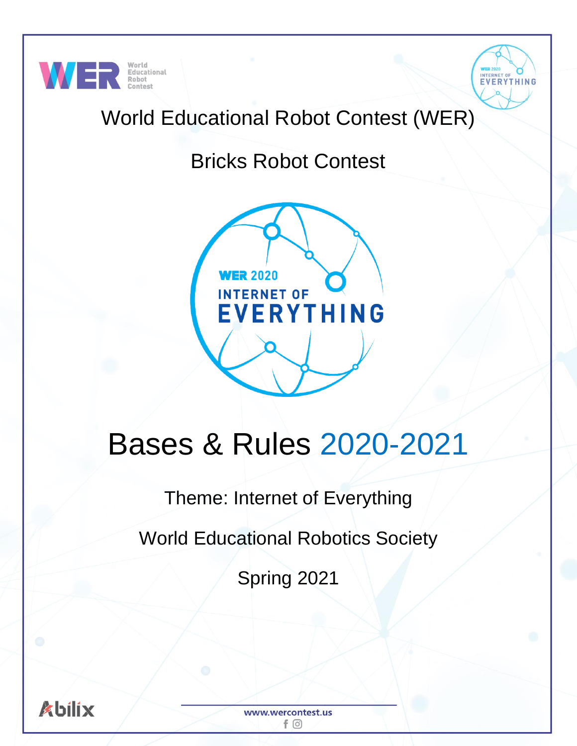



# World Educational Robot Contest (WER)

# Bricks Robot Contest



# Bases & Rules 2020-2021

# Theme: Internet of Everything

World Educational Robotics Society

Spring 2021

www.wercontest.us  $f$   $\odot$ 

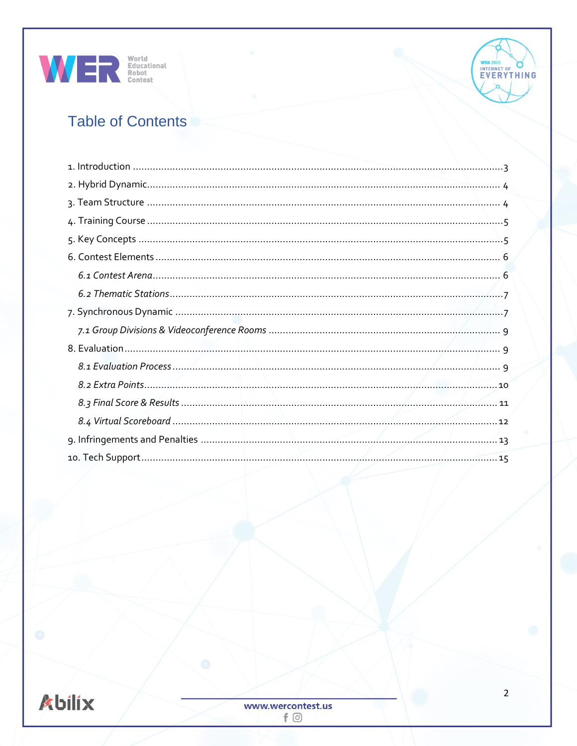



# **Table of Contents**

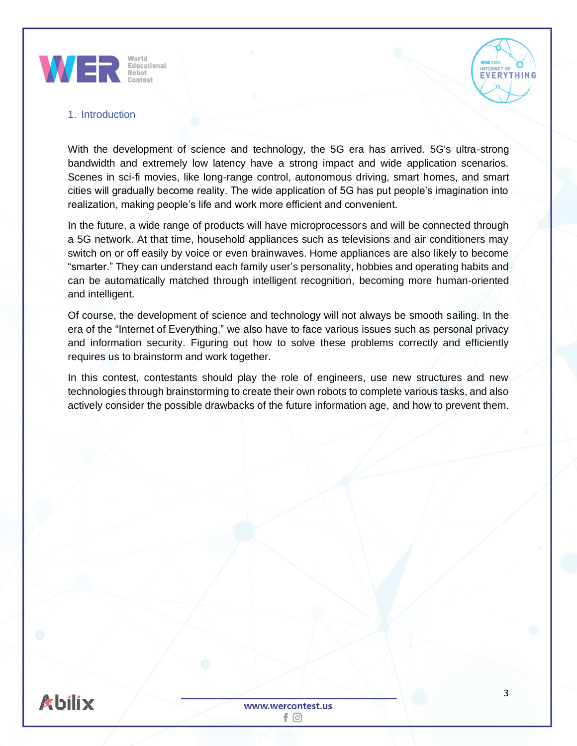

<span id="page-2-0"></span>

With the development of science and technology, the 5G era has arrived. 5G's ultra-strong bandwidth and extremely low latency have a strong impact and wide application scenarios. Scenes in sci-fi movies, like long-range control, autonomous driving, smart homes, and smart cities will gradually become reality. The wide application of 5G has put people's imagination into realization, making people's life and work more efficient and convenient.

In the future, a wide range of products will have microprocessors and will be connected through a 5G network. At that time, household appliances such as televisions and air conditioners may switch on or off easily by voice or even brainwaves. Home appliances are also likely to become "smarter." They can understand each family user's personality, hobbies and operating habits and can be automatically matched through intelligent recognition, becoming more human-oriented and intelligent.

Of course, the development of science and technology will not always be smooth sailing. In the era of the "Internet of Everything," we also have to face various issues such as personal privacy and information security. Figuring out how to solve these problems correctly and efficiently requires us to brainstorm and work together.

In this contest, contestants should play the role of engineers, use new structures and new technologies through brainstorming to create their own robots to complete various tasks, and also actively consider the possible drawbacks of the future information age, and how to prevent them.



EVERYTHING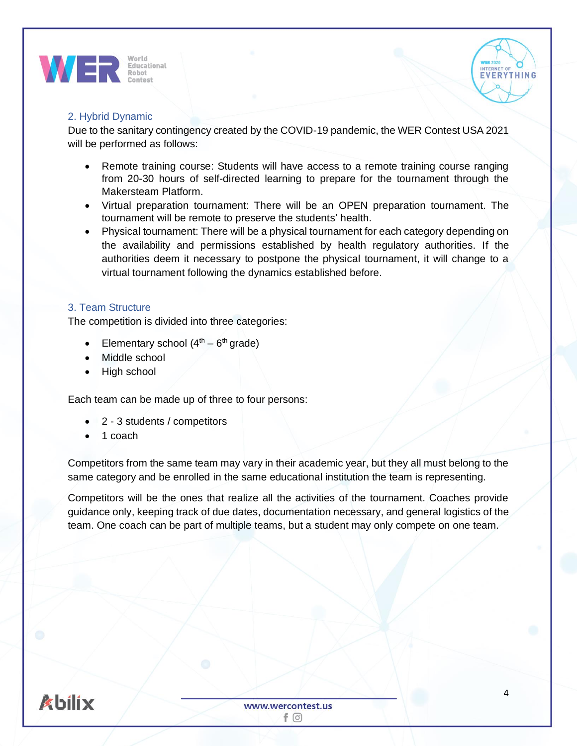



# <span id="page-3-0"></span>2. Hybrid Dynamic

Due to the sanitary contingency created by the COVID-19 pandemic, the WER Contest USA 2021 will be performed as follows:

- Remote training course: Students will have access to a remote training course ranging from 20-30 hours of self-directed learning to prepare for the tournament through the Makersteam Platform.
- Virtual preparation tournament: There will be an OPEN preparation tournament. The tournament will be remote to preserve the students' health.
- Physical tournament: There will be a physical tournament for each category depending on the availability and permissions established by health regulatory authorities. If the authorities deem it necessary to postpone the physical tournament, it will change to a virtual tournament following the dynamics established before.

# <span id="page-3-1"></span>3. Team Structure

The competition is divided into three categories:

- Elementary school  $(4<sup>th</sup> 6<sup>th</sup>$  grade)
- Middle school
- High school

Each team can be made up of three to four persons:

- 2 3 students / competitors
- 1 coach

Competitors from the same team may vary in their academic year, but they all must belong to the same category and be enrolled in the same educational institution the team is representing.

Competitors will be the ones that realize all the activities of the tournament. Coaches provide guidance only, keeping track of due dates, documentation necessary, and general logistics of the team. One coach can be part of multiple teams, but a student may only compete on one team.

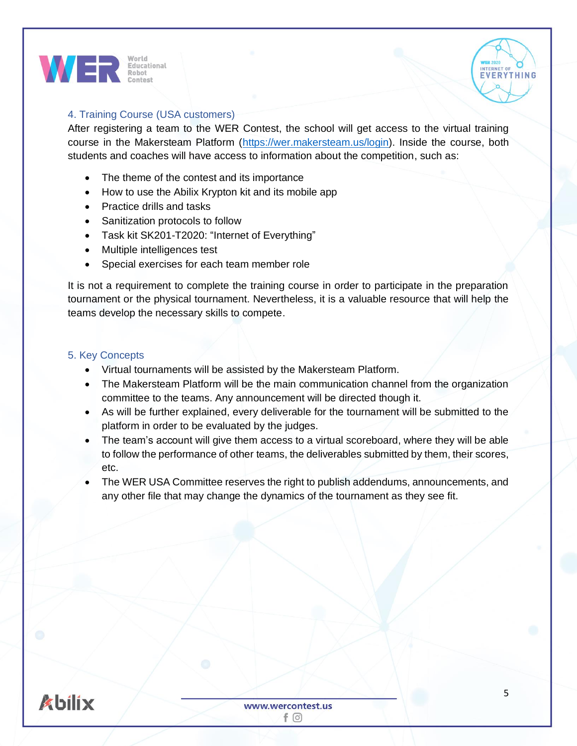



# <span id="page-4-0"></span>4. Training Course (USA customers)

After registering a team to the WER Contest, the school will get access to the virtual training course in the Makersteam Platform [\(https://wer.makersteam.us/login\)](https://wer.makersteam.us/login). Inside the course, both students and coaches will have access to information about the competition, such as:

- The theme of the contest and its importance
- How to use the Abilix Krypton kit and its mobile app
- Practice drills and tasks
- Sanitization protocols to follow
- Task kit SK201-T2020: "Internet of Everything"
- Multiple intelligences test
- Special exercises for each team member role

It is not a requirement to complete the training course in order to participate in the preparation tournament or the physical tournament. Nevertheless, it is a valuable resource that will help the teams develop the necessary skills to compete.

## <span id="page-4-1"></span>5. Key Concepts

- Virtual tournaments will be assisted by the Makersteam Platform.
- The Makersteam Platform will be the main communication channel from the organization committee to the teams. Any announcement will be directed though it.
- As will be further explained, every deliverable for the tournament will be submitted to the platform in order to be evaluated by the judges.
- The team's account will give them access to a virtual scoreboard, where they will be able to follow the performance of other teams, the deliverables submitted by them, their scores, etc.
- The WER USA Committee reserves the right to publish addendums, announcements, and any other file that may change the dynamics of the tournament as they see fit.

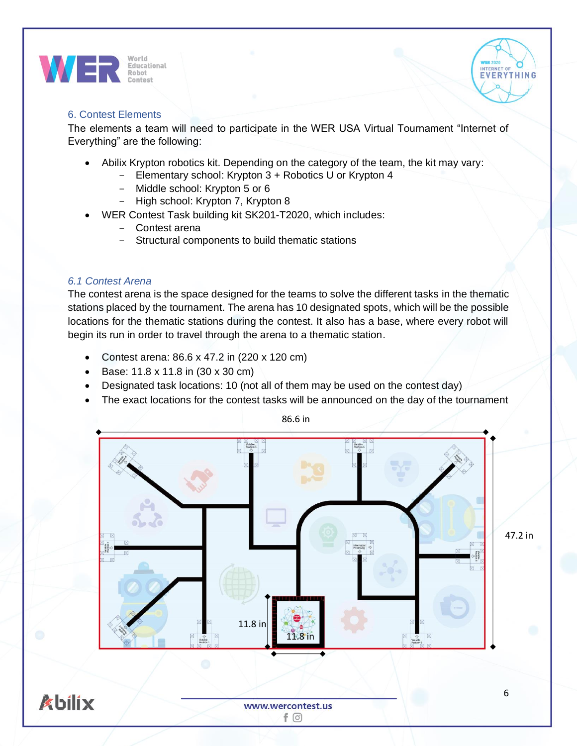



# <span id="page-5-0"></span>6. Contest Elements

The elements a team will need to participate in the WER USA Virtual Tournament "Internet of Everything" are the following:

- Abilix Krypton robotics kit. Depending on the category of the team, the kit may vary:
	- Elementary school: Krypton 3 + Robotics U or Krypton 4
	- Middle school: Krypton 5 or 6
	- High school: Krypton 7, Krypton 8
	- WER Contest Task building kit SK201-T2020, which includes:
		- Contest arena
		- Structural components to build thematic stations

# <span id="page-5-1"></span>*6.1 Contest Arena*

The contest arena is the space designed for the teams to solve the different tasks in the thematic stations placed by the tournament. The arena has 10 designated spots, which will be the possible locations for the thematic stations during the contest. It also has a base, where every robot will begin its run in order to travel through the arena to a thematic station.

- Contest arena: 86.6 x 47.2 in (220 x 120 cm)
- Base: 11.8 x 11.8 in (30 x 30 cm)
- Designated task locations: 10 (not all of them may be used on the contest day)
- The exact locations for the contest tasks will be announced on the day of the tournament



 $f$   $\odot$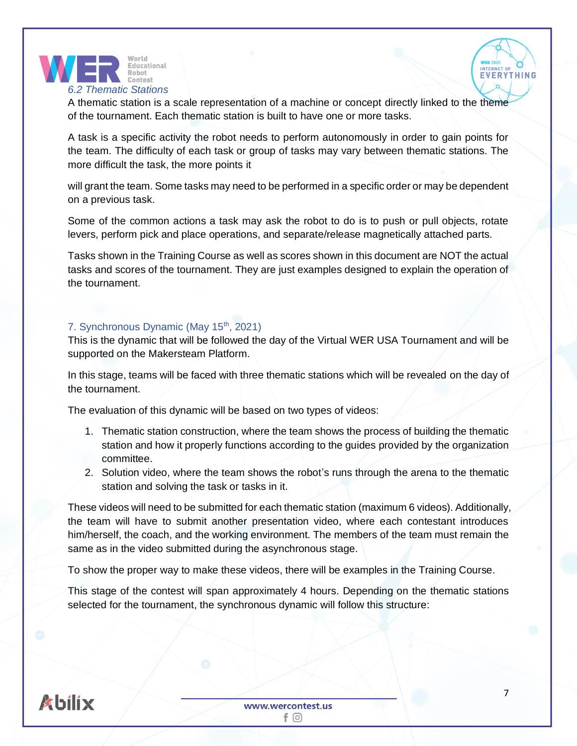

<span id="page-6-0"></span>A thematic station is a scale representation of a machine or concept directly linked to the theme of the tournament. Each thematic station is built to have one or more tasks.

A task is a specific activity the robot needs to perform autonomously in order to gain points for the team. The difficulty of each task or group of tasks may vary between thematic stations. The more difficult the task, the more points it

will grant the team. Some tasks may need to be performed in a specific order or may be dependent on a previous task.

Some of the common actions a task may ask the robot to do is to push or pull objects, rotate levers, perform pick and place operations, and separate/release magnetically attached parts.

Tasks shown in the Training Course as well as scores shown in this document are NOT the actual tasks and scores of the tournament. They are just examples designed to explain the operation of the tournament.

# <span id="page-6-1"></span>7. Synchronous Dynamic (May 15<sup>th</sup>, 2021)

This is the dynamic that will be followed the day of the Virtual WER USA Tournament and will be supported on the Makersteam Platform.

In this stage, teams will be faced with three thematic stations which will be revealed on the day of the tournament.

The evaluation of this dynamic will be based on two types of videos:

- 1. Thematic station construction, where the team shows the process of building the thematic station and how it properly functions according to the guides provided by the organization committee.
- 2. Solution video, where the team shows the robot's runs through the arena to the thematic station and solving the task or tasks in it.

These videos will need to be submitted for each thematic station (maximum 6 videos). Additionally, the team will have to submit another presentation video, where each contestant introduces him/herself, the coach, and the working environment. The members of the team must remain the same as in the video submitted during the asynchronous stage.

To show the proper way to make these videos, there will be examples in the Training Course.

This stage of the contest will span approximately 4 hours. Depending on the thematic stations selected for the tournament, the synchronous dynamic will follow this structure:



INTERNET OF **EVERYTHING**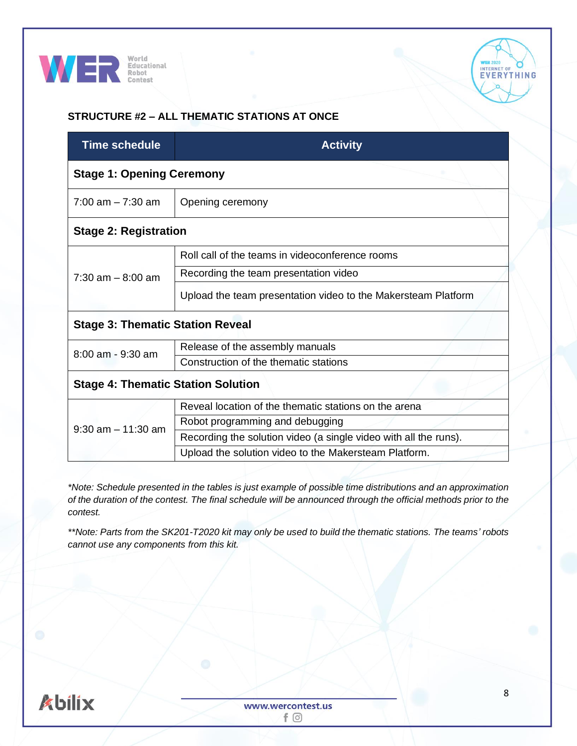



# **STRUCTURE #2 – ALL THEMATIC STATIONS AT ONCE**

| <b>Time schedule</b>                      | <b>Activity</b>                                                  |  |  |  |  |  |
|-------------------------------------------|------------------------------------------------------------------|--|--|--|--|--|
| <b>Stage 1: Opening Ceremony</b>          |                                                                  |  |  |  |  |  |
| $7:00$ am $-7:30$ am                      | Opening ceremony                                                 |  |  |  |  |  |
| <b>Stage 2: Registration</b>              |                                                                  |  |  |  |  |  |
|                                           | Roll call of the teams in videoconference rooms                  |  |  |  |  |  |
| $7:30$ am $-8:00$ am                      | Recording the team presentation video                            |  |  |  |  |  |
|                                           | Upload the team presentation video to the Makersteam Platform    |  |  |  |  |  |
| <b>Stage 3: Thematic Station Reveal</b>   |                                                                  |  |  |  |  |  |
| 8:00 am - 9:30 am                         | Release of the assembly manuals                                  |  |  |  |  |  |
|                                           | Construction of the thematic stations                            |  |  |  |  |  |
| <b>Stage 4: Thematic Station Solution</b> |                                                                  |  |  |  |  |  |
|                                           | Reveal location of the thematic stations on the arena            |  |  |  |  |  |
| $9:30$ am $-11:30$ am                     | Robot programming and debugging                                  |  |  |  |  |  |
|                                           | Recording the solution video (a single video with all the runs). |  |  |  |  |  |
|                                           | Upload the solution video to the Makersteam Platform.            |  |  |  |  |  |

*\*Note: Schedule presented in the tables is just example of possible time distributions and an approximation of the duration of the contest. The final schedule will be announced through the official methods prior to the contest.*

*\*\*Note: Parts from the SK201-T2020 kit may only be used to build the thematic stations. The teams' robots cannot use any components from this kit.*

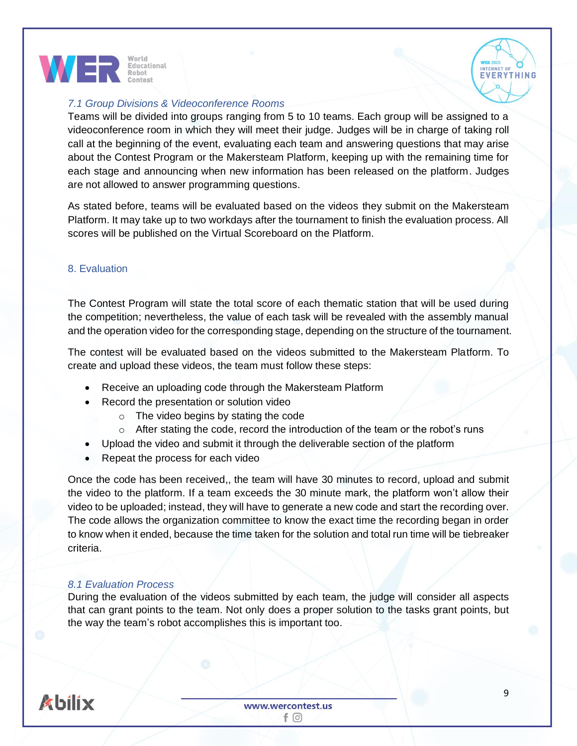



# <span id="page-8-0"></span>*7.1 Group Divisions & Videoconference Rooms*

Teams will be divided into groups ranging from 5 to 10 teams. Each group will be assigned to a videoconference room in which they will meet their judge. Judges will be in charge of taking roll call at the beginning of the event, evaluating each team and answering questions that may arise about the Contest Program or the Makersteam Platform, keeping up with the remaining time for each stage and announcing when new information has been released on the platform. Judges are not allowed to answer programming questions.

As stated before, teams will be evaluated based on the videos they submit on the Makersteam Platform. It may take up to two workdays after the tournament to finish the evaluation process. All scores will be published on the Virtual Scoreboard on the Platform.

## <span id="page-8-1"></span>8. Evaluation

The Contest Program will state the total score of each thematic station that will be used during the competition; nevertheless, the value of each task will be revealed with the assembly manual and the operation video for the corresponding stage, depending on the structure of the tournament.

The contest will be evaluated based on the videos submitted to the Makersteam Platform. To create and upload these videos, the team must follow these steps:

- Receive an uploading code through the Makersteam Platform
- Record the presentation or solution video
	- o The video begins by stating the code
	- o After stating the code, record the introduction of the team or the robot's runs
- Upload the video and submit it through the deliverable section of the platform
- Repeat the process for each video

Once the code has been received,, the team will have 30 minutes to record, upload and submit the video to the platform. If a team exceeds the 30 minute mark, the platform won't allow their video to be uploaded; instead, they will have to generate a new code and start the recording over. The code allows the organization committee to know the exact time the recording began in order to know when it ended, because the time taken for the solution and total run time will be tiebreaker criteria.

## <span id="page-8-2"></span>*8.1 Evaluation Process*

During the evaluation of the videos submitted by each team, the judge will consider all aspects that can grant points to the team. Not only does a proper solution to the tasks grant points, but the way the team's robot accomplishes this is important too.

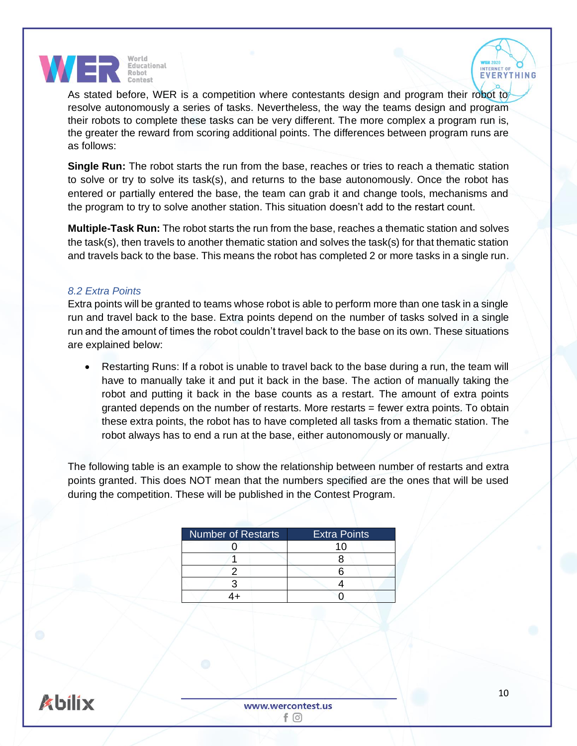



As stated before, WER is a competition where contestants design and program their robot to resolve autonomously a series of tasks. Nevertheless, the way the teams design and program their robots to complete these tasks can be very different. The more complex a program run is, the greater the reward from scoring additional points. The differences between program runs are as follows:

**Single Run:** The robot starts the run from the base, reaches or tries to reach a thematic station to solve or try to solve its task(s), and returns to the base autonomously. Once the robot has entered or partially entered the base, the team can grab it and change tools, mechanisms and the program to try to solve another station. This situation doesn't add to the restart count.

**Multiple-Task Run:** The robot starts the run from the base, reaches a thematic station and solves the task(s), then travels to another thematic station and solves the task(s) for that thematic station and travels back to the base. This means the robot has completed 2 or more tasks in a single run.

# <span id="page-9-0"></span>*8.2 Extra Points*

Extra points will be granted to teams whose robot is able to perform more than one task in a single run and travel back to the base. Extra points depend on the number of tasks solved in a single run and the amount of times the robot couldn't travel back to the base on its own. These situations are explained below:

• Restarting Runs: If a robot is unable to travel back to the base during a run, the team will have to manually take it and put it back in the base. The action of manually taking the robot and putting it back in the base counts as a restart. The amount of extra points granted depends on the number of restarts. More restarts = fewer extra points. To obtain these extra points, the robot has to have completed all tasks from a thematic station. The robot always has to end a run at the base, either autonomously or manually.

The following table is an example to show the relationship between number of restarts and extra points granted. This does NOT mean that the numbers specified are the ones that will be used during the competition. These will be published in the Contest Program.

| <b>Number of Restarts</b> | <b>Extra Points</b> |  |  |  |  |  |
|---------------------------|---------------------|--|--|--|--|--|
|                           | 10                  |  |  |  |  |  |
|                           |                     |  |  |  |  |  |
|                           |                     |  |  |  |  |  |
|                           |                     |  |  |  |  |  |
|                           |                     |  |  |  |  |  |
|                           |                     |  |  |  |  |  |

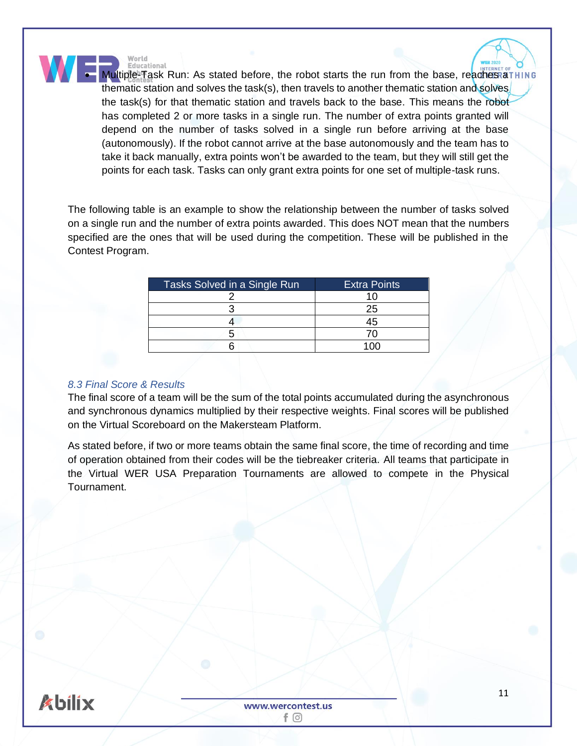World Educational

**Multiple-Task Run: As stated before, the robot starts the run from the base, reaches aTHING** thematic station and solves the task(s), then travels to another thematic station and solves the task(s) for that thematic station and travels back to the base. This means the robot has completed 2 or more tasks in a single run. The number of extra points granted will depend on the number of tasks solved in a single run before arriving at the base (autonomously). If the robot cannot arrive at the base autonomously and the team has to take it back manually, extra points won't be awarded to the team, but they will still get the points for each task. Tasks can only grant extra points for one set of multiple-task runs.

The following table is an example to show the relationship between the number of tasks solved on a single run and the number of extra points awarded. This does NOT mean that the numbers specified are the ones that will be used during the competition. These will be published in the Contest Program.

| Tasks Solved in a Single Run | <b>Extra Points</b> |
|------------------------------|---------------------|
|                              | 10                  |
|                              | 25                  |
|                              | 45                  |
|                              | 7٨                  |
|                              |                     |

# <span id="page-10-0"></span>*8.3 Final Score & Results*

The final score of a team will be the sum of the total points accumulated during the asynchronous and synchronous dynamics multiplied by their respective weights. Final scores will be published on the Virtual Scoreboard on the Makersteam Platform.

As stated before, if two or more teams obtain the same final score, the time of recording and time of operation obtained from their codes will be the tiebreaker criteria. All teams that participate in the Virtual WER USA Preparation Tournaments are allowed to compete in the Physical Tournament.

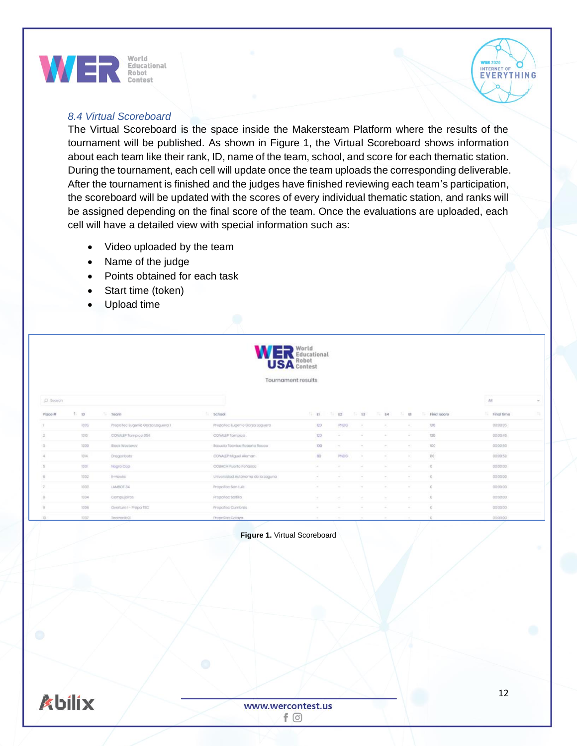

## <span id="page-11-0"></span>*8.4 Virtual Scoreboard*

The Virtual Scoreboard is the space inside the Makersteam Platform where the results of the tournament will be published. As shown in Figure 1, the Virtual Scoreboard shows information about each team like their rank, ID, name of the team, school, and score for each thematic station. During the tournament, each cell will update once the team uploads the corresponding deliverable. After the tournament is finished and the judges have finished reviewing each team's participation, the scoreboard will be updated with the scores of every individual thematic station, and ranks will be assigned depending on the final score of the team. Once the evaluations are uploaded, each cell will have a detailed view with special information such as:

- Video uploaded by the team
- Name of the judge
- Points obtained for each task
- Start time (token)
- Upload time

| ≕  | Jorid            |
|----|------------------|
| v. | ducational       |
| н. | <b>USA</b> Robot |
|    |                  |

Tournament results

| D. Bearch      |              |                                  |                                   |            |                |                  |        |                |                                     | <b>CONTRACTOR</b><br>All |  |
|----------------|--------------|----------------------------------|-----------------------------------|------------|----------------|------------------|--------|----------------|-------------------------------------|--------------------------|--|
| Place #        | <b>1. 10</b> | Team                             | 5thool                            |            |                |                  |        |                | ID ID ID ID ID ID ID ID Final score | Final time               |  |
|                | 1005         | PropoToc Eugenio Gorza Loguera 1 | Prispation Eugenio Garza Laguera  | 120        | <b>PNDG</b>    | $\sim$           | $\sim$ | <b>Section</b> | 120                                 | 00:00:35                 |  |
|                | 1010 :       | CONALEP Tompico 054              | CONALLY Tompico.                  | 120        | Tel:           | $\sim$ 100 $\mu$ | $\sim$ | <b>ALC</b>     | 120                                 | 00:00:46                 |  |
|                | 1009         | Block Wosteres                   | Escuala Tábrico Roberto Rocco     | <b>IDD</b> |                |                  |        | $\frac{1}{2}$  | 100                                 | 00:00:50                 |  |
| $\mathcal{A}$  | 1014.        | Dragoribots                      | CONALEP Miguell Aleman            | 80         | <b>IRIDO</b>   |                  |        | $\sim$         | BO <sup>-</sup>                     | 000053                   |  |
| $\overline{B}$ | 1001         | Nagro Cop                        | COBACH Puerto Peñasco             |            | $\sim$         |                  |        | $\sim$         | -6                                  | 00:00:00                 |  |
| $\sigma$       | 1002         | EHowks                           | Universidad Autónoma de la Laguna |            |                |                  |        | $\sim$         | -70                                 | 00:00:00                 |  |
|                | 1003         | LAMBOT 34                        | Proportion Son Luis               | ÷          | <b>Service</b> | $\sim$           | $\sim$ |                |                                     | 00:00:00                 |  |
| B              | 1094         | Compugnitos                      | PropoToc Soltifo.                 | $\sim$     | $\sim$         | ×.               | $\sim$ | $\sim$         | $-0$                                | 00:00:00                 |  |
| $\Omega$       | <b>NIOS</b>  | Overture I - Prapo TEC           | Proportion Cumbros                | $\sim$     | The Control    | <b>Contract</b>  | $\sim$ |                |                                     | 000000                   |  |
| ID-            | HH07.        | TectronicOL                      | PrepaToc Celaya                   |            | <b>ALC</b>     |                  |        |                |                                     | 00:00:00                 |  |

#### **Figure 1.** Virtual Scoreboard



INTERNET OF

**EVERYTHING**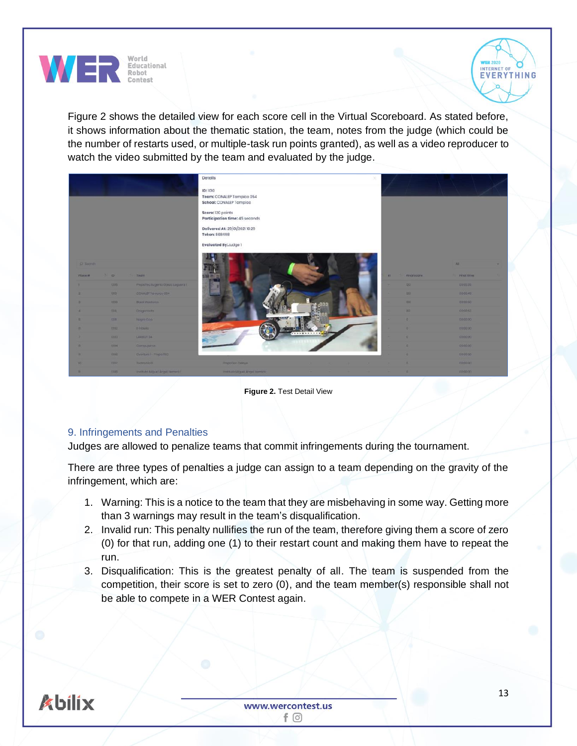



Figure 2 shows the detailed view for each score cell in the Virtual Scoreboard. As stated before, it shows information about the thematic station, the team, notes from the judge (which could be the number of restarts used, or multiple-task run points granted), as well as a video reproducer to watch the video submitted by the team and evaluated by the judge.

|                         |              |                                     | Details                                                         |                             | × |    |                |            |  |
|-------------------------|--------------|-------------------------------------|-----------------------------------------------------------------|-----------------------------|---|----|----------------|------------|--|
|                         |              |                                     | ID:1010<br>Team: CONALEP Tampico 054<br>School: CONALEP Tampico |                             |   |    |                |            |  |
|                         |              |                                     | Score: 120 points<br>Participation time: 45 seconds             |                             |   |    |                |            |  |
|                         |              |                                     | Delivered At: 29/01/2021 10:29<br>Token: 868498                 |                             |   |    |                |            |  |
|                         |              |                                     | Evaluated By:Judge 1                                            |                             |   |    |                |            |  |
| D Teorith               |              |                                     |                                                                 |                             |   |    |                | All        |  |
| Ploos #                 |              | <b>Taxable Toom</b>                 |                                                                 |                             |   | F1 | Final score    | Final time |  |
| ٠.                      | 1005         | Properties Eugenie Seize Luguera I. |                                                                 |                             |   |    | 120            | 1000339    |  |
| ۰.                      | 32323        | CONNECTIONS ON                      |                                                                 |                             |   |    | 122            | 000045     |  |
| ٠                       | 3500         | <b>DOUL WINDINGS</b>                |                                                                 |                             |   |    | 330            | 000060     |  |
| 41                      | <b>YOIA</b>  | Dragoriochi                         |                                                                 |                             |   |    | <b>RG</b>      | 000053     |  |
| m.                      | <b>Holm</b>  | Notario Cotti                       |                                                                 |                             |   |    | ø.             | 000000     |  |
| ×                       | 3332         | Himas                               |                                                                 |                             |   |    |                | 000000     |  |
| ×                       | <b>XXXXX</b> | LAMBOY BA                           |                                                                 | . <b>.</b> <mark>. .</mark> |   |    | $\blacksquare$ | 000000     |  |
| <b>IN</b>               | <b>T304</b>  | COTTELISTOS                         |                                                                 |                             |   |    | n.             | 000000     |  |
| ٠                       | 1000         | Overture ! - Prince TEC             |                                                                 |                             |   |    |                | 000000     |  |
| <b>TIO</b> <sup>1</sup> | 1302         | Technology                          | Proportion Osleyo:                                              |                             |   |    | $\mathbf{a}$   | 000000     |  |
|                         |              |                                     |                                                                 |                             |   |    |                |            |  |

**Figure 2.** Test Detail View

## <span id="page-12-0"></span>9. Infringements and Penalties

Judges are allowed to penalize teams that commit infringements during the tournament.

There are three types of penalties a judge can assign to a team depending on the gravity of the infringement, which are:

- 1. Warning: This is a notice to the team that they are misbehaving in some way. Getting more than 3 warnings may result in the team's disqualification.
- 2. Invalid run: This penalty nullifies the run of the team, therefore giving them a score of zero (0) for that run, adding one (1) to their restart count and making them have to repeat the run.
- 3. Disqualification: This is the greatest penalty of all. The team is suspended from the competition, their score is set to zero (0), and the team member(s) responsible shall not be able to compete in a WER Contest again.

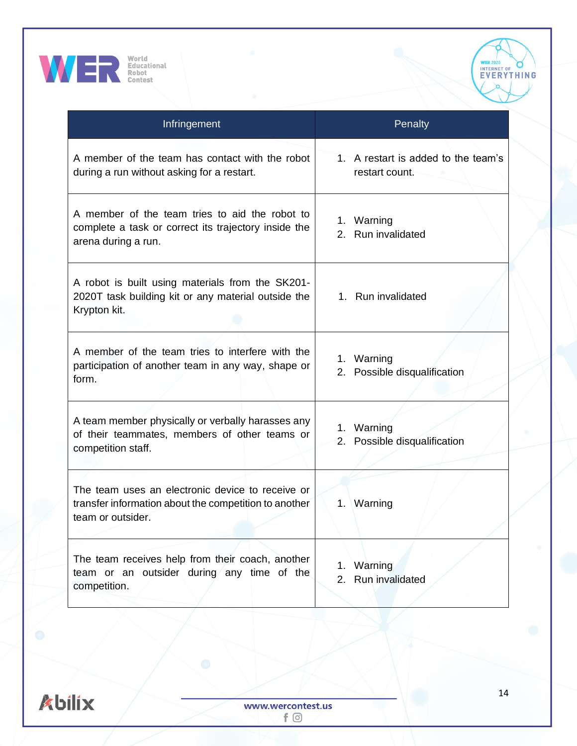



| Infringement                                                                                                                   | Penalty                                               |
|--------------------------------------------------------------------------------------------------------------------------------|-------------------------------------------------------|
| A member of the team has contact with the robot<br>during a run without asking for a restart.                                  | 1. A restart is added to the team's<br>restart count. |
| A member of the team tries to aid the robot to<br>complete a task or correct its trajectory inside the<br>arena during a run.  | 1. Warning<br>2. Run invalidated                      |
| A robot is built using materials from the SK201-<br>2020T task building kit or any material outside the<br>Krypton kit.        | 1. Run invalidated                                    |
| A member of the team tries to interfere with the<br>participation of another team in any way, shape or<br>form.                | 1. Warning<br>2. Possible disqualification            |
| A team member physically or verbally harasses any<br>of their teammates, members of other teams or<br>competition staff.       | Warning<br>1.<br>Possible disqualification<br>2.      |
| The team uses an electronic device to receive or<br>transfer information about the competition to another<br>team or outsider. | 1. Warning                                            |
| The team receives help from their coach, another<br>team or an outsider during any time of the<br>competition.                 | Warning<br>1.<br>Run invalidated<br>2.                |